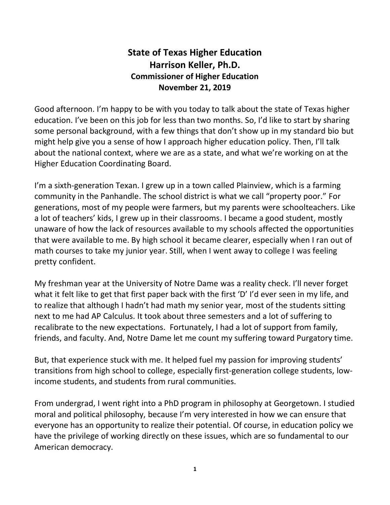## **State of Texas Higher Education Harrison Keller, Ph.D. Commissioner of Higher Education November 21, 2019**

Good afternoon. I'm happy to be with you today to talk about the state of Texas higher education. I've been on this job for less than two months. So, I'd like to start by sharing some personal background, with a few things that don't show up in my standard bio but might help give you a sense of how I approach higher education policy. Then, I'll talk about the national context, where we are as a state, and what we're working on at the Higher Education Coordinating Board.

I'm a sixth-generation Texan. I grew up in a town called Plainview, which is a farming community in the Panhandle. The school district is what we call "property poor." For generations, most of my people were farmers, but my parents were schoolteachers. Like a lot of teachers' kids, I grew up in their classrooms. I became a good student, mostly unaware of how the lack of resources available to my schools affected the opportunities that were available to me. By high school it became clearer, especially when I ran out of math courses to take my junior year. Still, when I went away to college I was feeling pretty confident.

My freshman year at the University of Notre Dame was a reality check. I'll never forget what it felt like to get that first paper back with the first 'D' I'd ever seen in my life, and to realize that although I hadn't had math my senior year, most of the students sitting next to me had AP Calculus. It took about three semesters and a lot of suffering to recalibrate to the new expectations. Fortunately, I had a lot of support from family, friends, and faculty. And, Notre Dame let me count my suffering toward Purgatory time.

But, that experience stuck with me. It helped fuel my passion for improving students' transitions from high school to college, especially first-generation college students, lowincome students, and students from rural communities.

From undergrad, I went right into a PhD program in philosophy at Georgetown. I studied moral and political philosophy, because I'm very interested in how we can ensure that everyone has an opportunity to realize their potential. Of course, in education policy we have the privilege of working directly on these issues, which are so fundamental to our American democracy.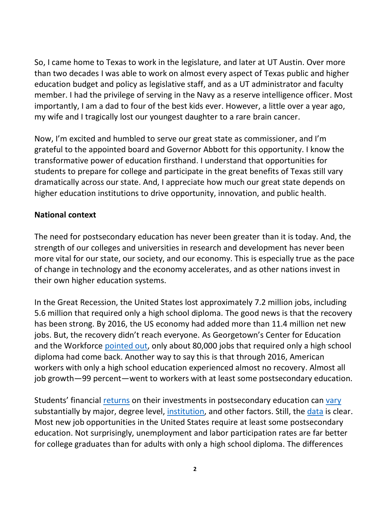So, I came home to Texas to work in the legislature, and later at UT Austin. Over more than two decades I was able to work on almost every aspect of Texas public and higher education budget and policy as legislative staff, and as a UT administrator and faculty member. I had the privilege of serving in the Navy as a reserve intelligence officer. Most importantly, I am a dad to four of the best kids ever. However, a little over a year ago, my wife and I tragically lost our youngest daughter to a rare brain cancer.

Now, I'm excited and humbled to serve our great state as commissioner, and I'm grateful to the appointed board and Governor Abbott for this opportunity. I know the transformative power of education firsthand. I understand that opportunities for students to prepare for college and participate in the great benefits of Texas still vary dramatically across our state. And, I appreciate how much our great state depends on higher education institutions to drive opportunity, innovation, and public health.

## **National context**

The need for postsecondary education has never been greater than it is today. And, the strength of our colleges and universities in research and development has never been more vital for our state, our society, and our economy. This is especially true as the pace of change in technology and the economy accelerates, and as other nations invest in their own higher education systems.

In the Great Recession, the United States lost approximately 7.2 million jobs, including 5.6 million that required only a high school diploma. The good news is that the recovery has been strong. By 2016, the US economy had added more than 11.4 million net new jobs. But, the recovery didn't reach everyone. As Georgetown's Center for Education and the Workforce [pointed out,](https://cew.georgetown.edu/cew-reports/americas-divided-recovery/) only about 80,000 jobs that required only a high school diploma had come back. Another way to say this is that through 2016, American workers with only a high school education experienced almost no recovery. Almost all job growth—99 percent—went to workers with at least some postsecondary education.

Students' financial [returns](https://www.urban.org/sites/default/files/publication/99078/evaluating_the_return_on_investment_in_higher_education.pdf) on their investments in postsecondary education can [vary](https://cew.georgetown.edu/cew-reports/5rules/) substantially by major, degree level, [institution,](https://cew.georgetown.edu/cew-reports/collegeroi/) and other factors. Still, the [data](https://data.census.gov/cedsci/table?q=Employment%20Status%20in%20the%20United%20States&hidePreview=true&table=S2301&tid=ACSST1Y2018.S2301&t=Employment%20and%20Labor%20Force%20Status&g=0100000US&vintage=2018&layer=state&cid=S2002_C01_001E&lastDisplayedRow=40) is clear. Most new job opportunities in the United States require at least some postsecondary education. Not surprisingly, unemployment and labor participation rates are far better for college graduates than for adults with only a high school diploma. The differences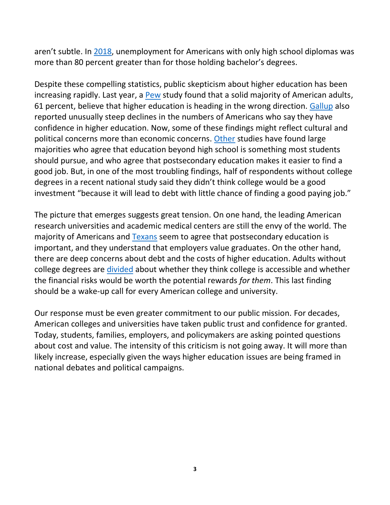aren't subtle. In [2018,](https://data.census.gov/cedsci/table?q=Employment%20Status%20in%20the%20United%20States&hidePreview=true&table=S2301&tid=ACSST1Y2018.S2301&t=Employment%20and%20Labor%20Force%20Status&g=0100000US&vintage=2018&layer=state&cid=S2002_C01_001E&lastDisplayedRow=40) unemployment for Americans with only high school diplomas was more than 80 percent greater than for those holding bachelor's degrees.

Despite these compelling statistics, public skepticism about higher education has been increasing rapidly. Last year, a [Pew](https://www.pewresearch.org/fact-tank/2018/07/26/most-americans-say-higher-ed-is-heading-in-wrong-direction-but-partisans-disagree-on-why/?utm_source=AdaptiveMailer&utm_medium=email&utm_campaign=18-7-26%20Higher%20ed%20press%20release&org=982&lvl=100&ite=2932&lea=651931&ctr=0&par=1&trk=) study found that a solid majority of American adults, 61 percent, believe that higher education is heading in the wrong direction. [Gallup](https://www.insidehighered.com/news/2018/10/09/gallup-survey-finds-falling-confidence-higher-education) also reported unusually steep declines in the numbers of Americans who say they have confidence in higher education. Now, some of these findings might reflect cultural and political concerns more than economic concerns. [Other](https://medium.com/third-way/americans-agree-higher-education-is-crucial-b5be4a4f830b) studies have found large majorities who agree that education beyond high school is something most students should pursue, and who agree that postsecondary education makes it easier to find a good job. But, in one of the most troubling findings, half of respondents without college degrees in a recent national study said they didn't think college would be a good investment "because it will lead to debt with little chance of finding a good paying job."

The picture that emerges suggests great tension. On one hand, the leading American research universities and academic medical centers are still the envy of the world. The majority of Americans and [Texans](https://www.wgu.edu/newsroom/press-release/2019/texas/wgu-texas-higher-ed-poll-1-16-19.html) seem to agree that postsecondary education is important, and they understand that employers value graduates. On the other hand, there are deep concerns about debt and the costs of higher education. Adults without college degrees are [divided](https://www.publicagenda.org/reports/a-major-step-what-adults-without-degrees-say-about-going-back-to-college/) about whether they think college is accessible and whether the financial risks would be worth the potential rewards *for them*. This last finding should be a wake-up call for every American college and university.

Our response must be even greater commitment to our public mission. For decades, American colleges and universities have taken public trust and confidence for granted. Today, students, families, employers, and policymakers are asking pointed questions about cost and value. The intensity of this criticism is not going away. It will more than likely increase, especially given the ways higher education issues are being framed in national debates and political campaigns.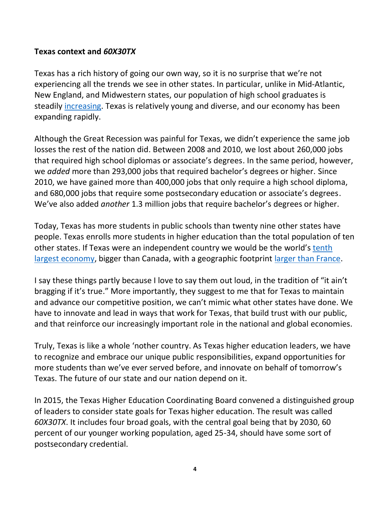## **Texas context and** *60X30TX*

Texas has a rich history of going our own way, so it is no surprise that we're not experiencing all the trends we see in other states. In particular, unlike in Mid-Atlantic, New England, and Midwestern states, our population of high school graduates is steadily [increasing.](http://www.texaseducationinfo.org/) Texas is relatively young and diverse, and our economy has been expanding rapidly.

Although the Great Recession was painful for Texas, we didn't experience the same job losses the rest of the nation did. Between 2008 and 2010, we lost about 260,000 jobs that required high school diplomas or associate's degrees. In the same period, however, we *added* more than 293,000 jobs that required bachelor's degrees or higher. Since 2010, we have gained more than 400,000 jobs that only require a high school diploma, and 680,000 jobs that require some postsecondary education or associate's degrees. We've also added *another* 1.3 million jobs that require bachelor's degrees or higher.

Today, Texas has more students in public schools than twenty nine other states have people. Texas enrolls more students in higher education than the total population of ten other states. If Texas were an independent country we would be the world's tenth [largest economy,](https://en.wikipedia.org/wiki/Economy_of_Texas) bigger than Canada, with a geographic footprint [larger than France.](https://www.wideopencountry.com/how-big-is-texas/)

I say these things partly because I love to say them out loud, in the tradition of "it ain't bragging if it's true." More importantly, they suggest to me that for Texas to maintain and advance our competitive position, we can't mimic what other states have done. We have to innovate and lead in ways that work for Texas, that build trust with our public, and that reinforce our increasingly important role in the national and global economies.

Truly, Texas is like a whole 'nother country. As Texas higher education leaders, we have to recognize and embrace our unique public responsibilities, expand opportunities for more students than we've ever served before, and innovate on behalf of tomorrow's Texas. The future of our state and our nation depend on it.

In 2015, the Texas Higher Education Coordinating Board convened a distinguished group of leaders to consider state goals for Texas higher education. The result was called *60X30TX*. It includes four broad goals, with the central goal being that by 2030, 60 percent of our younger working population, aged 25-34, should have some sort of postsecondary credential.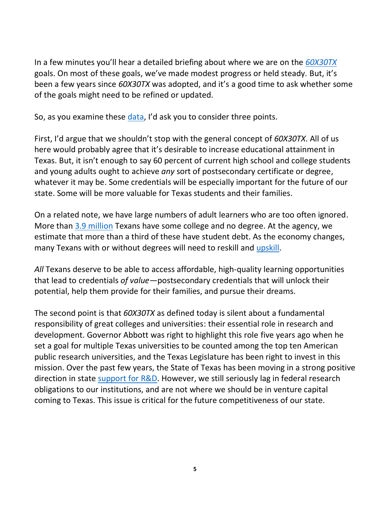In a few minutes you'll hear a detailed briefing about where we are on the *[60X30TX](http://www.60x30tx.com/)* goals. On most of these goals, we've made modest progress or held steady. But, it's been a few years since *60X30TX* was adopted, and it's a good time to ask whether some of the goals might need to be refined or updated.

So, as you examine these [data](http://www.60x30tx.com/media/1518/2019-60x30tx-progress-report.pdf), I'd ask you to consider three points.

First, I'd argue that we shouldn't stop with the general concept of *60X30TX*. All of us here would probably agree that it's desirable to increase educational attainment in Texas. But, it isn't enough to say 60 percent of current high school and college students and young adults ought to achieve *any* sort of postsecondary certificate or degree, whatever it may be. Some credentials will be especially important for the future of our state. Some will be more valuable for Texas students and their families.

On a related note, we have large numbers of adult learners who are too often ignored. More than 3.9 [million](https://data.census.gov/cedsci/table?q=Educational%20Attainment%20in%20the%20United%20States&g=0400000US48_0100000US&hidePreview=true&table=S1501&tid=ACSST1Y2018.S1501&lastDisplayedRow=67) Texans have some college and no degree. At the agency, we estimate that more than a third of these have student debt. As the economy changes, many Texans with or without degrees will need to reskill and [upskill.](https://cew.georgetown.edu/cew-reports/manufacturing/)

*All* Texans deserve to be able to access affordable, high-quality learning opportunities that lead to credentials *of value—*postsecondary credentials that will unlock their potential, help them provide for their families, and pursue their dreams.

The second point is that *60X30TX* as defined today is silent about a fundamental responsibility of great colleges and universities: their essential role in research and development. Governor Abbott was right to highlight this role five years ago when he set a goal for multiple Texas universities to be counted among the top ten American public research universities, and the Texas Legislature has been right to invest in this mission. Over the past few years, the State of Texas has been moving in a strong positive direction in state [support for R&D.](https://www.nsf.gov/statistics/state-indicators) However, we still seriously lag in federal research obligations to our institutions, and are not where we should be in venture capital coming to Texas. This issue is critical for the future competitiveness of our state.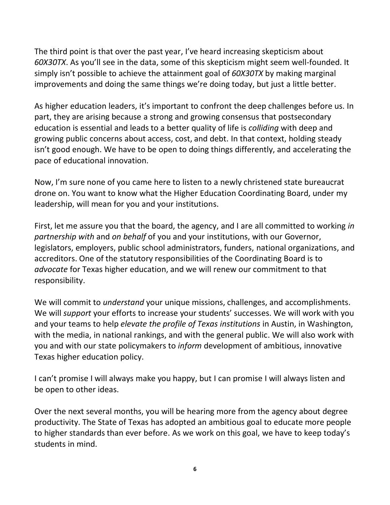The third point is that over the past year, I've heard increasing skepticism about *60X30TX*. As you'll see in the data, some of this skepticism might seem well-founded. It simply isn't possible to achieve the attainment goal of *60X30TX* by making marginal improvements and doing the same things we're doing today, but just a little better.

As higher education leaders, it's important to confront the deep challenges before us. In part, they are arising because a strong and growing consensus that postsecondary education is essential and leads to a better quality of life is *colliding* with deep and growing public concerns about access, cost, and debt. In that context, holding steady isn't good enough. We have to be open to doing things differently, and accelerating the pace of educational innovation.

Now, I'm sure none of you came here to listen to a newly christened state bureaucrat drone on. You want to know what the Higher Education Coordinating Board, under my leadership, will mean for you and your institutions.

First, let me assure you that the board, the agency, and I are all committed to working *in partnership with* and *on behalf* of you and your institutions, with our Governor, legislators, employers, public school administrators, funders, national organizations, and accreditors. One of the statutory responsibilities of the Coordinating Board is to *advocate* for Texas higher education, and we will renew our commitment to that responsibility.

We will commit to *understand* your unique missions, challenges, and accomplishments. We will *support* your efforts to increase your students' successes. We will work with you and your teams to help *elevate the profile of Texas institutions* in Austin, in Washington, with the media, in national rankings, and with the general public. We will also work with you and with our state policymakers to *inform* development of ambitious, innovative Texas higher education policy.

I can't promise I will always make you happy, but I can promise I will always listen and be open to other ideas.

Over the next several months, you will be hearing more from the agency about degree productivity. The State of Texas has adopted an ambitious goal to educate more people to higher standards than ever before. As we work on this goal, we have to keep today's students in mind.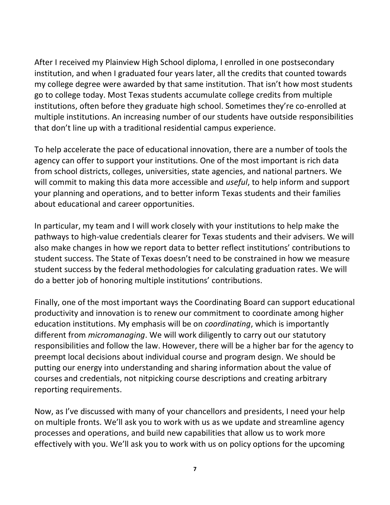After I received my Plainview High School diploma, I enrolled in one postsecondary institution, and when I graduated four years later, all the credits that counted towards my college degree were awarded by that same institution. That isn't how most students go to college today. Most Texas students accumulate college credits from multiple institutions, often before they graduate high school. Sometimes they're co-enrolled at multiple institutions. An increasing number of our students have outside responsibilities that don't line up with a traditional residential campus experience.

To help accelerate the pace of educational innovation, there are a number of tools the agency can offer to support your institutions. One of the most important is rich data from school districts, colleges, universities, state agencies, and national partners. We will commit to making this data more accessible and *useful*, to help inform and support your planning and operations, and to better inform Texas students and their families about educational and career opportunities.

In particular, my team and I will work closely with your institutions to help make the pathways to high-value credentials clearer for Texas students and their advisers. We will also make changes in how we report data to better reflect institutions' contributions to student success. The State of Texas doesn't need to be constrained in how we measure student success by the federal methodologies for calculating graduation rates. We will do a better job of honoring multiple institutions' contributions.

Finally, one of the most important ways the Coordinating Board can support educational productivity and innovation is to renew our commitment to coordinate among higher education institutions. My emphasis will be on *coordinating*, which is importantly different from *micromanaging*. We will work diligently to carry out our statutory responsibilities and follow the law. However, there will be a higher bar for the agency to preempt local decisions about individual course and program design. We should be putting our energy into understanding and sharing information about the value of courses and credentials, not nitpicking course descriptions and creating arbitrary reporting requirements.

Now, as I've discussed with many of your chancellors and presidents, I need your help on multiple fronts. We'll ask you to work with us as we update and streamline agency processes and operations, and build new capabilities that allow us to work more effectively with you. We'll ask you to work with us on policy options for the upcoming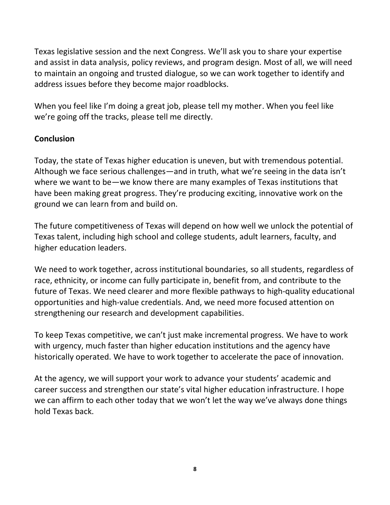Texas legislative session and the next Congress. We'll ask you to share your expertise and assist in data analysis, policy reviews, and program design. Most of all, we will need to maintain an ongoing and trusted dialogue, so we can work together to identify and address issues before they become major roadblocks.

When you feel like I'm doing a great job, please tell my mother. When you feel like we're going off the tracks, please tell me directly.

## **Conclusion**

Today, the state of Texas higher education is uneven, but with tremendous potential. Although we face serious challenges—and in truth, what we're seeing in the data isn't where we want to be—we know there are many examples of Texas institutions that have been making great progress. They're producing exciting, innovative work on the ground we can learn from and build on.

The future competitiveness of Texas will depend on how well we unlock the potential of Texas talent, including high school and college students, adult learners, faculty, and higher education leaders.

We need to work together, across institutional boundaries, so all students, regardless of race, ethnicity, or income can fully participate in, benefit from, and contribute to the future of Texas. We need clearer and more flexible pathways to high-quality educational opportunities and high-value credentials. And, we need more focused attention on strengthening our research and development capabilities.

To keep Texas competitive, we can't just make incremental progress. We have to work with urgency, much faster than higher education institutions and the agency have historically operated. We have to work together to accelerate the pace of innovation.

At the agency, we will support your work to advance your students' academic and career success and strengthen our state's vital higher education infrastructure. I hope we can affirm to each other today that we won't let the way we've always done things hold Texas back.